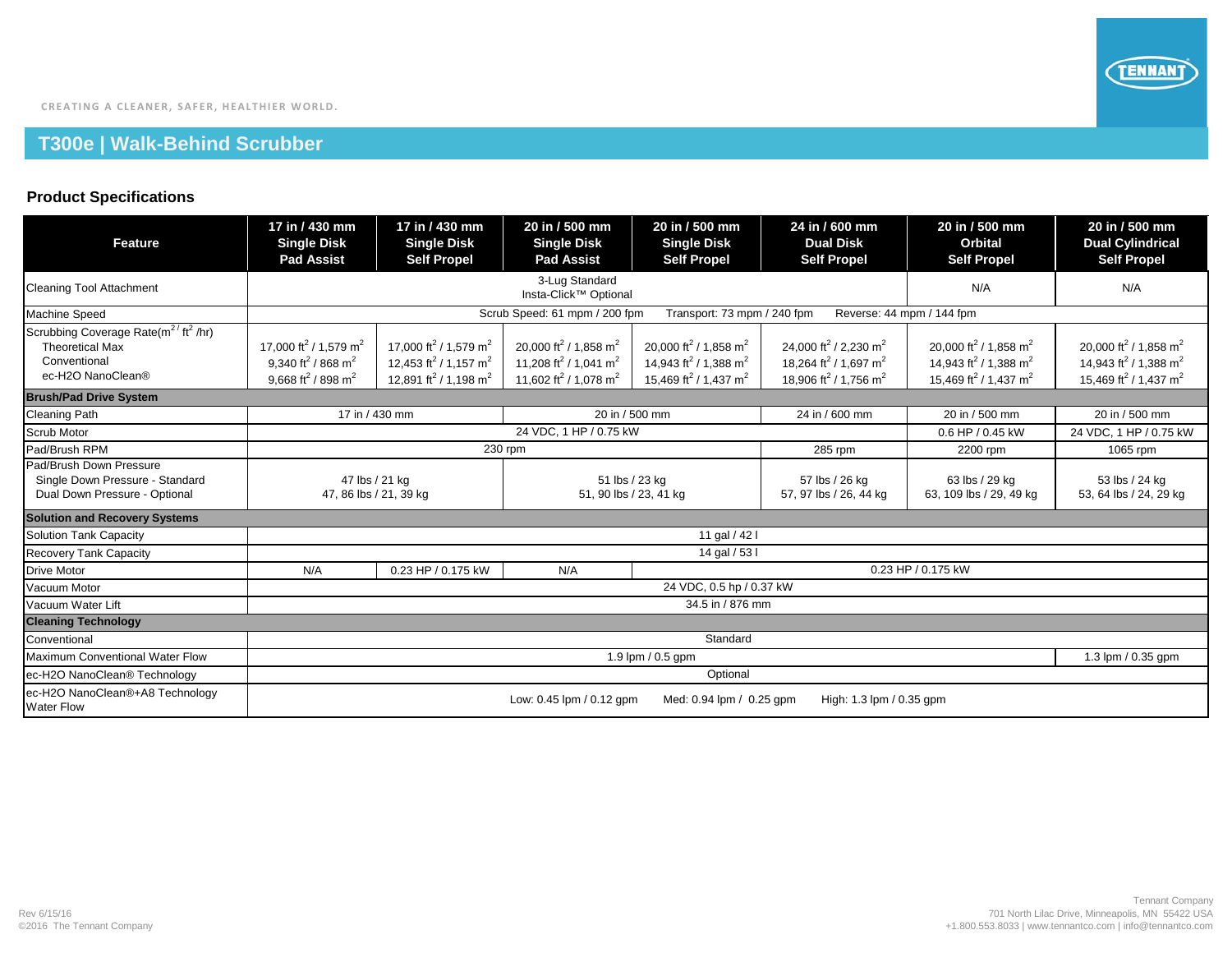## **T300e | Walk-Behind Scrubber**

## **Product Specifications**

| Feature                                                                                                                     | 17 in / 430 mm<br><b>Single Disk</b><br><b>Pad Assist</b>                                                                                 | 17 in / 430 mm<br><b>Single Disk</b><br><b>Self Propel</b>                                                                                      | 20 in / 500 mm<br><b>Single Disk</b><br><b>Pad Assist</b>                                                                                       | 20 in / 500 mm<br><b>Single Disk</b><br><b>Self Propel</b>                                                                                      | 24 in / 600 mm<br><b>Dual Disk</b><br><b>Self Propel</b>                                                                                        | 20 in / 500 mm<br><b>Orbital</b><br><b>Self Propel</b>                                                                                          | 20 in / 500 mm<br><b>Dual Cylindrical</b><br><b>Self Propel</b>                                                                                 |  |  |
|-----------------------------------------------------------------------------------------------------------------------------|-------------------------------------------------------------------------------------------------------------------------------------------|-------------------------------------------------------------------------------------------------------------------------------------------------|-------------------------------------------------------------------------------------------------------------------------------------------------|-------------------------------------------------------------------------------------------------------------------------------------------------|-------------------------------------------------------------------------------------------------------------------------------------------------|-------------------------------------------------------------------------------------------------------------------------------------------------|-------------------------------------------------------------------------------------------------------------------------------------------------|--|--|
| <b>Cleaning Tool Attachment</b>                                                                                             |                                                                                                                                           |                                                                                                                                                 | N/A                                                                                                                                             | N/A                                                                                                                                             |                                                                                                                                                 |                                                                                                                                                 |                                                                                                                                                 |  |  |
| Machine Speed                                                                                                               | Scrub Speed: 61 mpm / 200 fpm<br>Transport: 73 mpm / 240 fpm<br>Reverse: 44 mpm / 144 fpm                                                 |                                                                                                                                                 |                                                                                                                                                 |                                                                                                                                                 |                                                                                                                                                 |                                                                                                                                                 |                                                                                                                                                 |  |  |
| Scrubbing Coverage Rate(m <sup>2/</sup> ft <sup>2</sup> /hr)<br><b>Theoretical Max</b><br>Conventional<br>ec-H2O NanoClean® | 17,000 ft <sup>2</sup> / 1,579 m <sup>2</sup><br>9.340 ft <sup>2</sup> / 868 m <sup>2</sup><br>9,668 ft <sup>2</sup> / 898 m <sup>2</sup> | 17.000 ft <sup>2</sup> / 1.579 m <sup>2</sup><br>12.453 ft <sup>2</sup> / 1.157 m <sup>2</sup><br>12,891 ft <sup>2</sup> / 1,198 m <sup>2</sup> | 20,000 ft <sup>2</sup> / 1,858 m <sup>2</sup><br>11.208 ft <sup>2</sup> / 1.041 m <sup>2</sup><br>11,602 ft <sup>2</sup> / 1,078 m <sup>2</sup> | 20.000 ft <sup>2</sup> / 1.858 m <sup>2</sup><br>14.943 ft <sup>2</sup> / 1.388 m <sup>2</sup><br>15,469 ft <sup>2</sup> / 1,437 m <sup>2</sup> | 24.000 ft <sup>2</sup> / 2.230 m <sup>2</sup><br>18.264 ft <sup>2</sup> / 1.697 m <sup>2</sup><br>18,906 ft <sup>2</sup> / 1,756 m <sup>2</sup> | 20.000 ft <sup>2</sup> / 1.858 m <sup>2</sup><br>14.943 ft <sup>2</sup> / 1.388 m <sup>2</sup><br>15,469 ft <sup>2</sup> / 1,437 m <sup>2</sup> | 20,000 ft <sup>2</sup> / 1,858 m <sup>2</sup><br>14.943 ft <sup>2</sup> / 1.388 m <sup>2</sup><br>15,469 ft <sup>2</sup> / 1,437 m <sup>2</sup> |  |  |
| <b>Brush/Pad Drive System</b>                                                                                               |                                                                                                                                           |                                                                                                                                                 |                                                                                                                                                 |                                                                                                                                                 |                                                                                                                                                 |                                                                                                                                                 |                                                                                                                                                 |  |  |
| <b>Cleaning Path</b>                                                                                                        | 17 in / 430 mm                                                                                                                            |                                                                                                                                                 | $\overline{20}$ in / 500 mm                                                                                                                     |                                                                                                                                                 | 24 in / 600 mm                                                                                                                                  | 20 in / 500 mm                                                                                                                                  | 20 in / 500 mm                                                                                                                                  |  |  |
| <b>Scrub Motor</b>                                                                                                          |                                                                                                                                           |                                                                                                                                                 | 0.6 HP / 0.45 kW                                                                                                                                | 24 VDC, 1 HP / 0.75 kW                                                                                                                          |                                                                                                                                                 |                                                                                                                                                 |                                                                                                                                                 |  |  |
| Pad/Brush RPM                                                                                                               | 230 rpm<br>285 rpm                                                                                                                        |                                                                                                                                                 |                                                                                                                                                 |                                                                                                                                                 |                                                                                                                                                 | 2200 rpm                                                                                                                                        | 1065 rpm                                                                                                                                        |  |  |
| Pad/Brush Down Pressure<br>Single Down Pressure - Standard<br>Dual Down Pressure - Optional                                 | 47 lbs / 21 kg<br>47, 86 lbs / 21, 39 kg                                                                                                  |                                                                                                                                                 | 51 lbs / 23 kg<br>51, 90 lbs / 23, 41 kg                                                                                                        |                                                                                                                                                 | 57 lbs / 26 kg<br>57, 97 lbs / 26, 44 kg                                                                                                        | 63 lbs / 29 kg<br>63, 109 lbs / 29, 49 kg                                                                                                       | 53 lbs / 24 kg<br>53, 64 lbs / 24, 29 kg                                                                                                        |  |  |
| <b>Solution and Recovery Systems</b>                                                                                        |                                                                                                                                           |                                                                                                                                                 |                                                                                                                                                 |                                                                                                                                                 |                                                                                                                                                 |                                                                                                                                                 |                                                                                                                                                 |  |  |
| Solution Tank Capacity                                                                                                      | 11 gal / 42 l                                                                                                                             |                                                                                                                                                 |                                                                                                                                                 |                                                                                                                                                 |                                                                                                                                                 |                                                                                                                                                 |                                                                                                                                                 |  |  |
| <b>Recovery Tank Capacity</b>                                                                                               | 14 gal / 53 l                                                                                                                             |                                                                                                                                                 |                                                                                                                                                 |                                                                                                                                                 |                                                                                                                                                 |                                                                                                                                                 |                                                                                                                                                 |  |  |
| <b>Drive Motor</b>                                                                                                          | N/A                                                                                                                                       | 0.23 HP / 0.175 kW                                                                                                                              | N/A                                                                                                                                             |                                                                                                                                                 |                                                                                                                                                 | 0.23 HP / 0.175 kW                                                                                                                              |                                                                                                                                                 |  |  |
| Vacuum Motor                                                                                                                | 24 VDC, 0.5 hp / 0.37 kW                                                                                                                  |                                                                                                                                                 |                                                                                                                                                 |                                                                                                                                                 |                                                                                                                                                 |                                                                                                                                                 |                                                                                                                                                 |  |  |
| Vacuum Water Lift                                                                                                           | 34.5 in / 876 mm                                                                                                                          |                                                                                                                                                 |                                                                                                                                                 |                                                                                                                                                 |                                                                                                                                                 |                                                                                                                                                 |                                                                                                                                                 |  |  |
| <b>Cleaning Technology</b>                                                                                                  |                                                                                                                                           |                                                                                                                                                 |                                                                                                                                                 |                                                                                                                                                 |                                                                                                                                                 |                                                                                                                                                 |                                                                                                                                                 |  |  |
| Conventional                                                                                                                | Standard                                                                                                                                  |                                                                                                                                                 |                                                                                                                                                 |                                                                                                                                                 |                                                                                                                                                 |                                                                                                                                                 |                                                                                                                                                 |  |  |
| Maximum Conventional Water Flow                                                                                             | 1.9 lpm $/$ 0.5 gpm<br>1.3 lpm / 0.35 gpm                                                                                                 |                                                                                                                                                 |                                                                                                                                                 |                                                                                                                                                 |                                                                                                                                                 |                                                                                                                                                 |                                                                                                                                                 |  |  |
| ec-H2O NanoClean® Technology                                                                                                | Optional                                                                                                                                  |                                                                                                                                                 |                                                                                                                                                 |                                                                                                                                                 |                                                                                                                                                 |                                                                                                                                                 |                                                                                                                                                 |  |  |
| ec-H2O NanoClean®+A8 Technology<br><b>Water Flow</b>                                                                        | Low: 0.45 lpm / 0.12 gpm<br>Med: 0.94 lpm / 0.25 gpm<br>High: 1.3 lpm / 0.35 gpm                                                          |                                                                                                                                                 |                                                                                                                                                 |                                                                                                                                                 |                                                                                                                                                 |                                                                                                                                                 |                                                                                                                                                 |  |  |